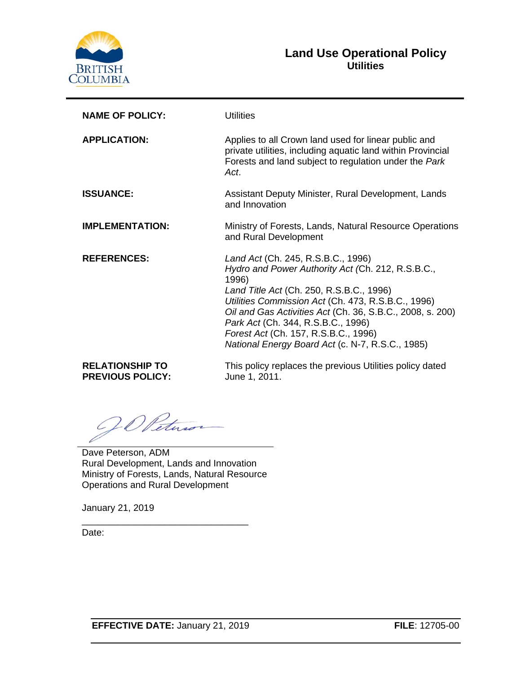

#### **Land Use Operational Policy Utilities**

| <b>NAME OF POLICY:</b> | Utilities                                                                                                                                                                                                                                                                                                                                                                                         |
|------------------------|---------------------------------------------------------------------------------------------------------------------------------------------------------------------------------------------------------------------------------------------------------------------------------------------------------------------------------------------------------------------------------------------------|
| <b>APPLICATION:</b>    | Applies to all Crown land used for linear public and<br>private utilities, including aquatic land within Provincial<br>Forests and land subject to regulation under the Park<br>Act.                                                                                                                                                                                                              |
| <b>ISSUANCE:</b>       | Assistant Deputy Minister, Rural Development, Lands<br>and Innovation                                                                                                                                                                                                                                                                                                                             |
| <b>IMPLEMENTATION:</b> | Ministry of Forests, Lands, Natural Resource Operations<br>and Rural Development                                                                                                                                                                                                                                                                                                                  |
| <b>REFERENCES:</b>     | Land Act (Ch. 245, R.S.B.C., 1996)<br>Hydro and Power Authority Act (Ch. 212, R.S.B.C.,<br>1996)<br>Land Title Act (Ch. 250, R.S.B.C., 1996)<br>Utilities Commission Act (Ch. 473, R.S.B.C., 1996)<br>Oil and Gas Activities Act (Ch. 36, S.B.C., 2008, s. 200)<br>Park Act (Ch. 344, R.S.B.C., 1996)<br>Forest Act (Ch. 157, R.S.B.C., 1996)<br>National Energy Board Act (c. N-7, R.S.C., 1985) |
| <b>RELATIONSHIP TO</b> | This policy replaces the previous Utilities policy dated                                                                                                                                                                                                                                                                                                                                          |

**RELATIONSHIP TO PREVIOUS POLICY:**

This policy replaces the previous Utilities policy dated June 1, 2011.

20 Peters

Dave Peterson, ADM Rural Development, Lands and Innovation Ministry of Forests, Lands, Natural Resource Operations and Rural Development

\_\_\_\_\_\_\_\_\_\_\_\_\_\_\_\_\_\_\_\_\_\_\_\_\_\_\_\_\_\_\_\_

January 21, 2019

Date: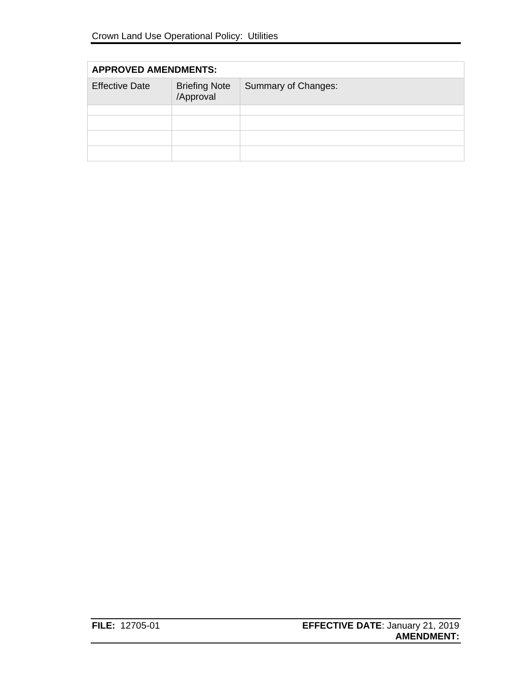| <b>APPROVED AMENDMENTS:</b> |                                   |                     |  |  |
|-----------------------------|-----------------------------------|---------------------|--|--|
| <b>Effective Date</b>       | <b>Briefing Note</b><br>/Approval | Summary of Changes: |  |  |
|                             |                                   |                     |  |  |
|                             |                                   |                     |  |  |
|                             |                                   |                     |  |  |
|                             |                                   |                     |  |  |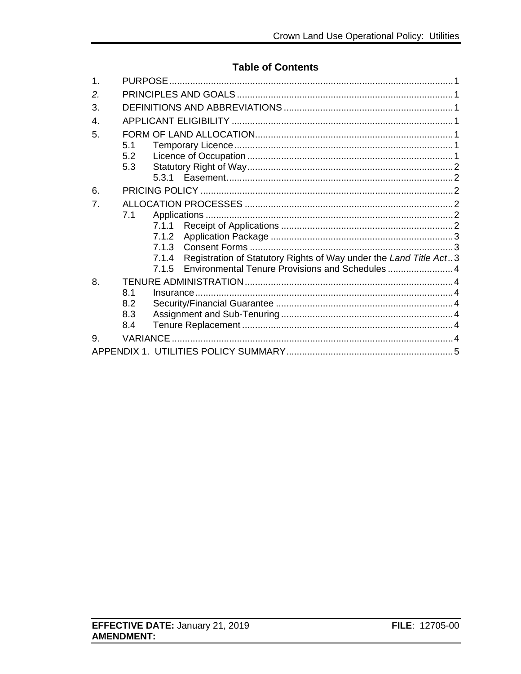### **Table of Contents**

| 5.1 |                   |                                            |                                                                                                                                    |
|-----|-------------------|--------------------------------------------|------------------------------------------------------------------------------------------------------------------------------------|
| 5.2 |                   |                                            |                                                                                                                                    |
|     |                   |                                            |                                                                                                                                    |
|     |                   |                                            |                                                                                                                                    |
|     |                   |                                            |                                                                                                                                    |
|     |                   |                                            |                                                                                                                                    |
| 7.1 |                   |                                            |                                                                                                                                    |
|     | 7.1.1             |                                            |                                                                                                                                    |
|     | 7.1.2             |                                            |                                                                                                                                    |
|     |                   |                                            |                                                                                                                                    |
|     |                   |                                            |                                                                                                                                    |
|     |                   |                                            |                                                                                                                                    |
|     |                   |                                            |                                                                                                                                    |
| 8.1 |                   |                                            |                                                                                                                                    |
| 8.2 |                   |                                            |                                                                                                                                    |
|     |                   |                                            |                                                                                                                                    |
|     |                   |                                            |                                                                                                                                    |
|     |                   |                                            |                                                                                                                                    |
|     |                   |                                            |                                                                                                                                    |
|     | 5.3<br>8.3<br>8.4 | 7.1.3<br>7.1.4<br>7.1.5<br><b>VARIANCE</b> | Registration of Statutory Rights of Way under the Land Title Act3<br>Environmental Tenure Provisions and Schedules  4<br>Insurance |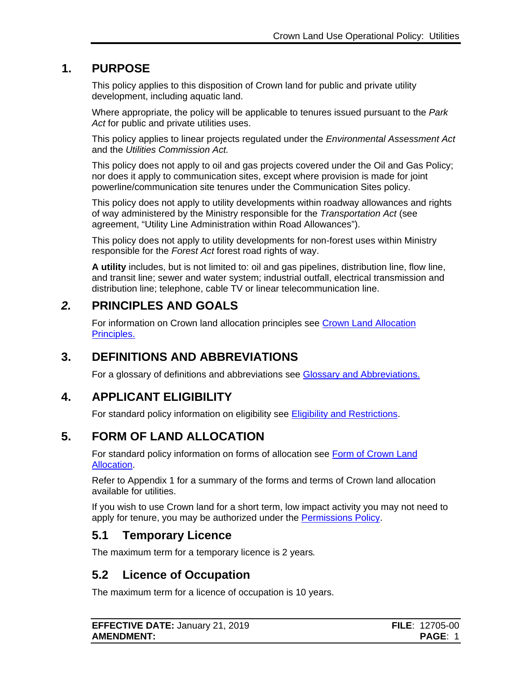# **1. PURPOSE**

<span id="page-3-0"></span>This policy applies to this disposition of Crown land for public and private utility development, including aquatic land.

Where appropriate, the policy will be applicable to tenures issued pursuant to the *Park Act* for public and private utilities uses.

This policy applies to linear projects regulated under the *Environmental Assessment Act*  and the *Utilities Commission Act.*

This policy does not apply to oil and gas projects covered under the Oil and Gas Policy; nor does it apply to communication sites, except where provision is made for joint powerline/communication site tenures under the Communication Sites policy.

This policy does not apply to utility developments within roadway allowances and rights of way administered by the Ministry responsible for the *Transportation Act* (see agreement, "Utility Line Administration within Road Allowances").

This policy does not apply to utility developments for non-forest uses within Ministry responsible for the *Forest Act* forest road rights of way.

**A utility** includes, but is not limited to: oil and gas pipelines, distribution line, flow line, and transit line; sewer and water system; industrial outfall, electrical transmission and distribution line; telephone, cable TV or linear telecommunication line.

### *2.* **PRINCIPLES AND GOALS**

<span id="page-3-1"></span>For information on Crown land allocation principles see [Crown Land Allocation](https://www2.gov.bc.ca/assets/gov/farming-natural-resources-and-industry/natural-resource-use/land-water-use/crown-land/allocation_principles.pdf)  [Principles.](https://www2.gov.bc.ca/assets/gov/farming-natural-resources-and-industry/natural-resource-use/land-water-use/crown-land/allocation_principles.pdf)

# **3. DEFINITIONS AND ABBREVIATIONS**

<span id="page-3-2"></span>For a glossary of definitions and abbreviations see [Glossary and Abbreviations.](https://www2.gov.bc.ca/assets/gov/farming-natural-resources-and-industry/natural-resource-use/land-water-use/crown-land/glossary_and_abbreviations.pdf)

# **4. APPLICANT ELIGIBILITY**

<span id="page-3-3"></span>For standard policy information on eligibility see [Eligibility and Restrictions.](http://www2.gov.bc.ca/assets/gov/farming-natural-resources-and-industry/natural-resource-use/land-water-use/crown-land/eligibility.pdf)

# **5. FORM OF LAND ALLOCATION**

<span id="page-3-4"></span>For standard policy information on forms of allocation see [Form of Crown Land](http://www2.gov.bc.ca/assets/gov/farming-natural-resources-and-industry/natural-resource-use/land-water-use/crown-land/form_of_allocation.pdf)  [Allocation.](http://www2.gov.bc.ca/assets/gov/farming-natural-resources-and-industry/natural-resource-use/land-water-use/crown-land/form_of_allocation.pdf)

Refer to Appendix 1 for a summary of the forms and terms of Crown land allocation available for utilities.

If you wish to use Crown land for a short term, low impact activity you may not need to apply for tenure, you may be authorized under the [Permissions Policy.](http://www2.gov.bc.ca/assets/gov/farming-natural-resources-and-industry/natural-resource-use/land-water-use/crown-land/permissions.pdf)

### <span id="page-3-5"></span>**5.1 Temporary Licence**

The maximum term for a temporary licence is 2 years*.*

# <span id="page-3-6"></span>**5.2 Licence of Occupation**

The maximum term for a licence of occupation is 10 years.

| <b>EFFECTIVE DATE: January 21, 2019</b> | <b>FILE</b> : 12705-00 |
|-----------------------------------------|------------------------|
| <b>AMENDMENT:</b>                       | <b>PAGE:</b>           |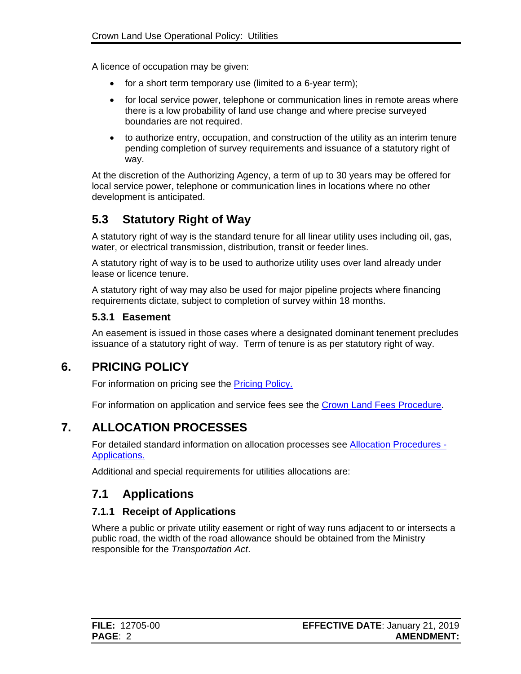A licence of occupation may be given:

- for a short term temporary use (limited to a 6-year term);
- for local service power, telephone or communication lines in remote areas where there is a low probability of land use change and where precise surveyed boundaries are not required.
- to authorize entry, occupation, and construction of the utility as an interim tenure pending completion of survey requirements and issuance of a statutory right of way.

At the discretion of the Authorizing Agency, a term of up to 30 years may be offered for local service power, telephone or communication lines in locations where no other development is anticipated.

# <span id="page-4-0"></span>**5.3 Statutory Right of Way**

A statutory right of way is the standard tenure for all linear utility uses including oil, gas, water, or electrical transmission, distribution, transit or feeder lines.

A statutory right of way is to be used to authorize utility uses over land already under lease or licence tenure.

A statutory right of way may also be used for major pipeline projects where financing requirements dictate, subject to completion of survey within 18 months.

#### <span id="page-4-1"></span>**5.3.1 Easement**

An easement is issued in those cases where a designated dominant tenement precludes issuance of a statutory right of way. Term of tenure is as per statutory right of way.

### **6. PRICING POLICY**

<span id="page-4-2"></span>For information on pricing see the [Pricing Policy.](https://www2.gov.bc.ca/assets/gov/farming-natural-resources-and-industry/natural-resource-use/land-water-use/crown-land/pricing.pdf#page=105)

For information on application and service fees see the [Crown Land Fees Procedure.](https://www2.gov.bc.ca/assets/gov/farming-natural-resources-and-industry/natural-resource-use/land-water-use/crown-land/fees.pdf)

# **7. ALLOCATION PROCESSES**

<span id="page-4-3"></span>For detailed standard information on allocation processes see [Allocation Procedures -](https://www2.gov.bc.ca/assets/gov/farming-natural-resources-and-industry/natural-resource-use/land-water-use/crown-land/ap_applications.pdf) [Applications.](https://www2.gov.bc.ca/assets/gov/farming-natural-resources-and-industry/natural-resource-use/land-water-use/crown-land/ap_applications.pdf)

Additional and special requirements for utilities allocations are:

### <span id="page-4-4"></span>**7.1 Applications**

#### <span id="page-4-5"></span>**7.1.1 Receipt of Applications**

Where a public or private utility easement or right of way runs adjacent to or intersects a public road, the width of the road allowance should be obtained from the Ministry responsible for the *Transportation Act*.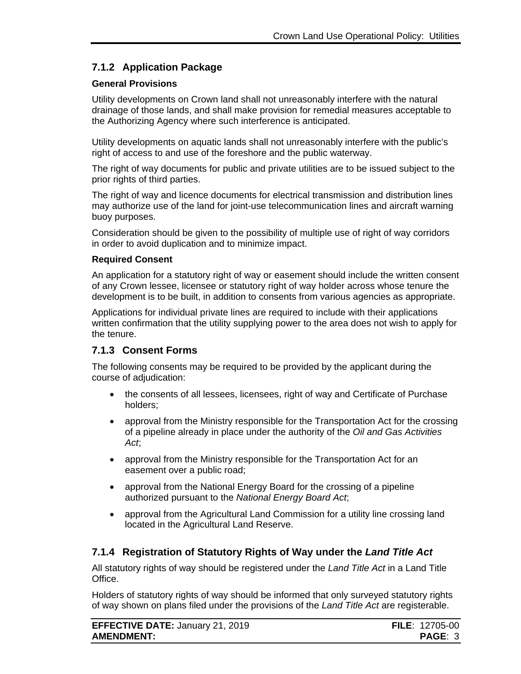#### <span id="page-5-0"></span>**7.1.2 Application Package**

#### **General Provisions**

Utility developments on Crown land shall not unreasonably interfere with the natural drainage of those lands, and shall make provision for remedial measures acceptable to the Authorizing Agency where such interference is anticipated.

Utility developments on aquatic lands shall not unreasonably interfere with the public's right of access to and use of the foreshore and the public waterway.

The right of way documents for public and private utilities are to be issued subject to the prior rights of third parties.

The right of way and licence documents for electrical transmission and distribution lines may authorize use of the land for joint-use telecommunication lines and aircraft warning buoy purposes.

Consideration should be given to the possibility of multiple use of right of way corridors in order to avoid duplication and to minimize impact.

#### **Required Consent**

An application for a statutory right of way or easement should include the written consent of any Crown lessee, licensee or statutory right of way holder across whose tenure the development is to be built, in addition to consents from various agencies as appropriate.

Applications for individual private lines are required to include with their applications written confirmation that the utility supplying power to the area does not wish to apply for the tenure.

#### <span id="page-5-1"></span>**7.1.3 Consent Forms**

The following consents may be required to be provided by the applicant during the course of adjudication:

- the consents of all lessees, licensees, right of way and Certificate of Purchase holders;
- approval from the Ministry responsible for the Transportation Act for the crossing of a pipeline already in place under the authority of the *Oil and Gas Activities Act*;
- approval from the Ministry responsible for the Transportation Act for an easement over a public road;
- approval from the National Energy Board for the crossing of a pipeline authorized pursuant to the *National Energy Board Act*;
- approval from the Agricultural Land Commission for a utility line crossing land located in the Agricultural Land Reserve.

#### <span id="page-5-2"></span>**7.1.4 Registration of Statutory Rights of Way under the** *Land Title Act*

All statutory rights of way should be registered under the *Land Title Act* in a Land Title Office.

Holders of statutory rights of way should be informed that only surveyed statutory rights of way shown on plans filed under the provisions of the *Land Title Act* are registerable.

| <b>EFFECTIVE DATE: January 21, 2019</b> | <b>FILE</b> : 12705-00 |
|-----------------------------------------|------------------------|
| <b>AMENDMENT:</b>                       | <b>PAGE: 3</b>         |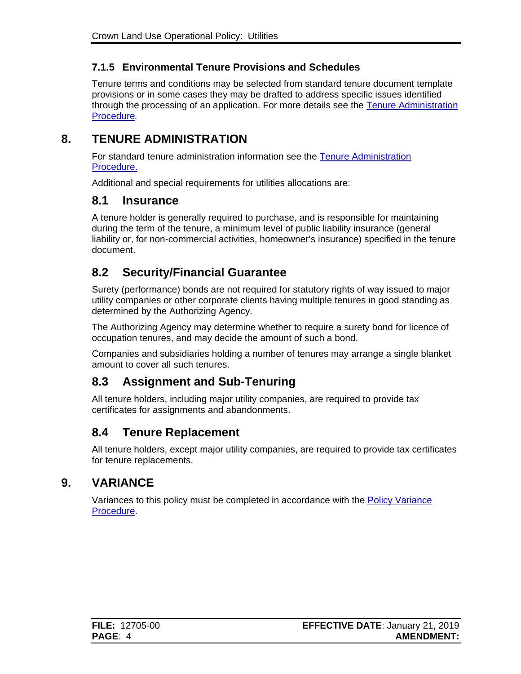#### <span id="page-6-0"></span>**7.1.5 Environmental Tenure Provisions and Schedules**

Tenure terms and conditions may be selected from standard tenure document template provisions or in some cases they may be drafted to address specific issues identified through the processing of an application. For more details see the [Tenure Administration](https://www2.gov.bc.ca/assets/gov/farming-natural-resources-and-industry/natural-resource-use/land-water-use/crown-land/ta_general.pdf)  [Procedure](https://www2.gov.bc.ca/assets/gov/farming-natural-resources-and-industry/natural-resource-use/land-water-use/crown-land/ta_general.pdf)*.*

### **8. TENURE ADMINISTRATION**

<span id="page-6-1"></span>For standard tenure administration information see the Tenure Administration [Procedure.](https://www2.gov.bc.ca/assets/gov/farming-natural-resources-and-industry/natural-resource-use/land-water-use/crown-land/ta_general.pdf)

Additional and special requirements for utilities allocations are:

#### <span id="page-6-2"></span>**8.1 Insurance**

A tenure holder is generally required to purchase, and is responsible for maintaining during the term of the tenure, a minimum level of public liability insurance (general liability or, for non-commercial activities, homeowner's insurance) specified in the tenure document.

### <span id="page-6-3"></span>**8.2 Security/Financial Guarantee**

Surety (performance) bonds are not required for statutory rights of way issued to major utility companies or other corporate clients having multiple tenures in good standing as determined by the Authorizing Agency.

The Authorizing Agency may determine whether to require a surety bond for licence of occupation tenures, and may decide the amount of such a bond.

Companies and subsidiaries holding a number of tenures may arrange a single blanket amount to cover all such tenures.

# <span id="page-6-4"></span>**8.3 Assignment and Sub-Tenuring**

All tenure holders, including major utility companies, are required to provide tax certificates for assignments and abandonments.

### <span id="page-6-5"></span>**8.4 Tenure Replacement**

All tenure holders, except major utility companies, are required to provide tax certificates for tenure replacements.

### **9. VARIANCE**

<span id="page-6-6"></span>Variances to this policy must be completed in accordance with the [Policy Variance](http://www2.gov.bc.ca/assets/gov/farming-natural-resources-and-industry/natural-resource-use/land-water-use/crown-land/variance.pdf)  [Procedure.](http://www2.gov.bc.ca/assets/gov/farming-natural-resources-and-industry/natural-resource-use/land-water-use/crown-land/variance.pdf)